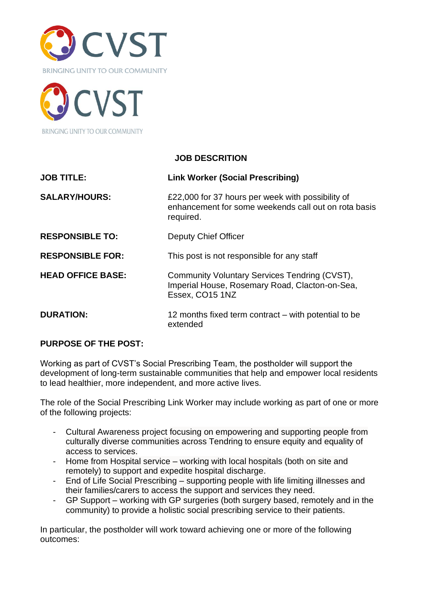



### **JOB DESCRITION**

| <b>JOB TITLE:</b>        | <b>Link Worker (Social Prescribing)</b>                                                                                |  |
|--------------------------|------------------------------------------------------------------------------------------------------------------------|--|
| <b>SALARY/HOURS:</b>     | £22,000 for 37 hours per week with possibility of<br>enhancement for some weekends call out on rota basis<br>required. |  |
| <b>RESPONSIBLE TO:</b>   | Deputy Chief Officer                                                                                                   |  |
| <b>RESPONSIBLE FOR:</b>  | This post is not responsible for any staff                                                                             |  |
| <b>HEAD OFFICE BASE:</b> | Community Voluntary Services Tendring (CVST),<br>Imperial House, Rosemary Road, Clacton-on-Sea,<br>Essex, CO15 1NZ     |  |
| <b>DURATION:</b>         | 12 months fixed term contract – with potential to be<br>extended                                                       |  |

### **PURPOSE OF THE POST:**

Working as part of CVST's Social Prescribing Team, the postholder will support the development of long-term sustainable communities that help and empower local residents to lead healthier, more independent, and more active lives.

The role of the Social Prescribing Link Worker may include working as part of one or more of the following projects:

- Cultural Awareness project focusing on empowering and supporting people from culturally diverse communities across Tendring to ensure equity and equality of access to services.
- Home from Hospital service working with local hospitals (both on site and remotely) to support and expedite hospital discharge.
- End of Life Social Prescribing supporting people with life limiting illnesses and their families/carers to access the support and services they need.
- GP Support working with GP surgeries (both surgery based, remotely and in the community) to provide a holistic social prescribing service to their patients.

In particular, the postholder will work toward achieving one or more of the following outcomes: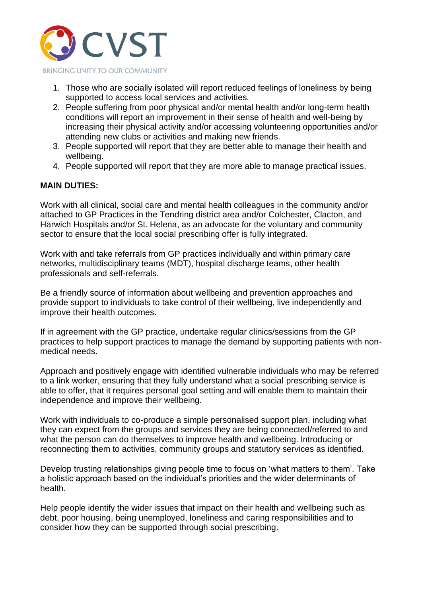

- 1. Those who are socially isolated will report reduced feelings of loneliness by being supported to access local services and activities.
- 2. People suffering from poor physical and/or mental health and/or long-term health conditions will report an improvement in their sense of health and well-being by increasing their physical activity and/or accessing volunteering opportunities and/or attending new clubs or activities and making new friends.
- 3. People supported will report that they are better able to manage their health and wellbeing.
- 4. People supported will report that they are more able to manage practical issues.

## **MAIN DUTIES:**

Work with all clinical, social care and mental health colleagues in the community and/or attached to GP Practices in the Tendring district area and/or Colchester, Clacton, and Harwich Hospitals and/or St. Helena, as an advocate for the voluntary and community sector to ensure that the local social prescribing offer is fully integrated.

Work with and take referrals from GP practices individually and within primary care networks, multidisciplinary teams (MDT), hospital discharge teams, other health professionals and self-referrals.

Be a friendly source of information about wellbeing and prevention approaches and provide support to individuals to take control of their wellbeing, live independently and improve their health outcomes.

If in agreement with the GP practice, undertake regular clinics/sessions from the GP practices to help support practices to manage the demand by supporting patients with nonmedical needs.

Approach and positively engage with identified vulnerable individuals who may be referred to a link worker, ensuring that they fully understand what a social prescribing service is able to offer, that it requires personal goal setting and will enable them to maintain their independence and improve their wellbeing.

Work with individuals to co-produce a simple personalised support plan, including what they can expect from the groups and services they are being connected/referred to and what the person can do themselves to improve health and wellbeing. Introducing or reconnecting them to activities, community groups and statutory services as identified.

Develop trusting relationships giving people time to focus on 'what matters to them'. Take a holistic approach based on the individual's priorities and the wider determinants of health.

Help people identify the wider issues that impact on their health and wellbeing such as debt, poor housing, being unemployed, loneliness and caring responsibilities and to consider how they can be supported through social prescribing.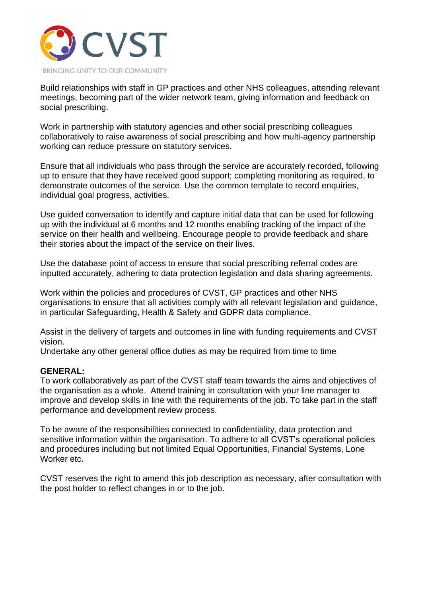

Build relationships with staff in GP practices and other NHS colleagues, attending relevant meetings, becoming part of the wider network team, giving information and feedback on social prescribing.

Work in partnership with statutory agencies and other social prescribing colleagues collaboratively to raise awareness of social prescribing and how multi-agency partnership working can reduce pressure on statutory services.

Ensure that all individuals who pass through the service are accurately recorded, following up to ensure that they have received good support; completing monitoring as required, to demonstrate outcomes of the service. Use the common template to record enquiries, individual goal progress, activities.

Use guided conversation to identify and capture initial data that can be used for following up with the individual at 6 months and 12 months enabling tracking of the impact of the service on their health and wellbeing. Encourage people to provide feedback and share their stories about the impact of the service on their lives.

Use the database point of access to ensure that social prescribing referral codes are inputted accurately, adhering to data protection legislation and data sharing agreements.

Work within the policies and procedures of CVST, GP practices and other NHS organisations to ensure that all activities comply with all relevant legislation and guidance, in particular Safeguarding, Health & Safety and GDPR data compliance.

Assist in the delivery of targets and outcomes in line with funding requirements and CVST vision.

Undertake any other general office duties as may be required from time to time

#### **GENERAL:**

To work collaboratively as part of the CVST staff team towards the aims and objectives of the organisation as a whole. Attend training in consultation with your line manager to improve and develop skills in line with the requirements of the job. To take part in the staff performance and development review process.

To be aware of the responsibilities connected to confidentiality, data protection and sensitive information within the organisation. To adhere to all CVST's operational policies and procedures including but not limited Equal Opportunities, Financial Systems, Lone Worker etc.

CVST reserves the right to amend this job description as necessary, after consultation with the post holder to reflect changes in or to the job.